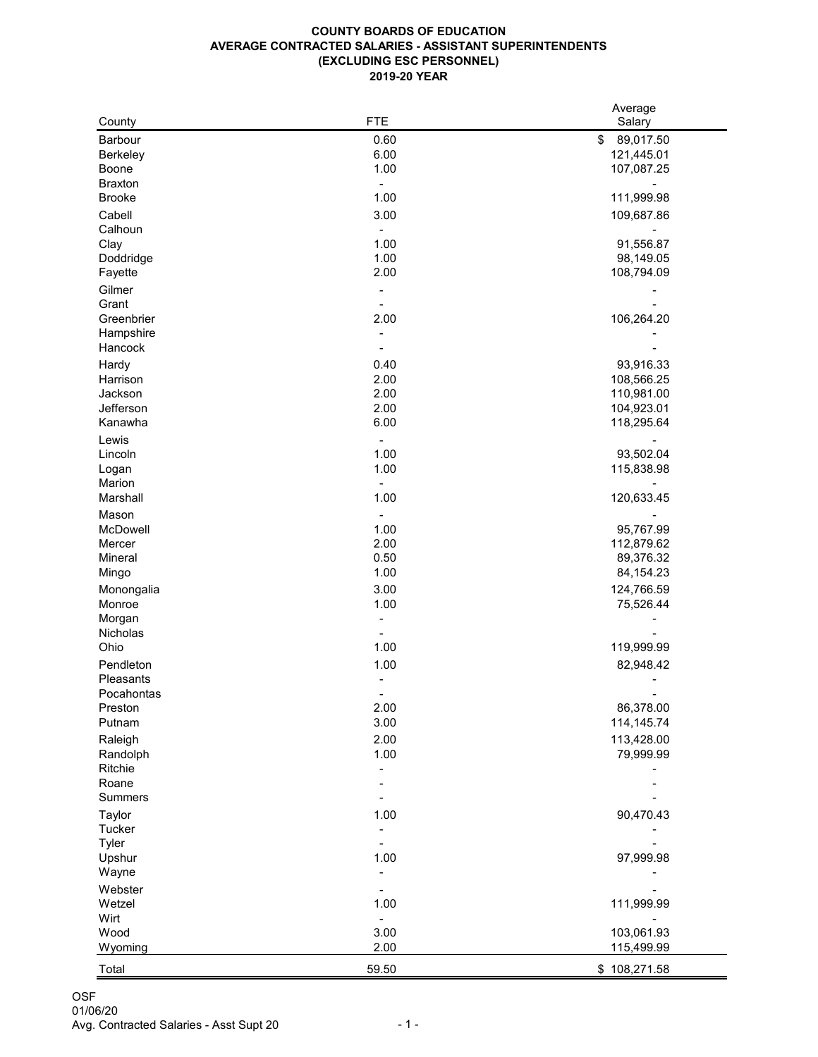## **COUNTY BOARDS OF EDUCATION AVERAGE CONTRACTED SALARIES - ASSISTANT SUPERINTENDENTS (EXCLUDING ESC PERSONNEL) 2019-20 YEAR**

|                 |            | Average         |
|-----------------|------------|-----------------|
| County          | <b>FTE</b> | Salary          |
| <b>Barbour</b>  | 0.60       | \$<br>89,017.50 |
| <b>Berkeley</b> | 6.00       | 121,445.01      |
| <b>Boone</b>    | 1.00       | 107,087.25      |
| <b>Braxton</b>  | ÷,         |                 |
| <b>Brooke</b>   | 1.00       | 111,999.98      |
| Cabell          | 3.00       | 109,687.86      |
| Calhoun         |            |                 |
| Clay            | 1.00       | 91,556.87       |
| Doddridge       | 1.00       | 98,149.05       |
| Fayette         | 2.00       | 108,794.09      |
|                 |            |                 |
| Gilmer          |            |                 |
| Grant           |            |                 |
| Greenbrier      | 2.00       | 106,264.20      |
| Hampshire       |            |                 |
| Hancock         |            |                 |
| Hardy           | 0.40       | 93,916.33       |
| Harrison        | 2.00       | 108,566.25      |
| Jackson         | 2.00       | 110,981.00      |
| Jefferson       | 2.00       | 104,923.01      |
| Kanawha         | 6.00       | 118,295.64      |
| Lewis           |            |                 |
| Lincoln         | 1.00       | 93,502.04       |
| Logan           | 1.00       | 115,838.98      |
| Marion          |            |                 |
| Marshall        | 1.00       | 120,633.45      |
|                 |            |                 |
| Mason           |            |                 |
| McDowell        | 1.00       | 95,767.99       |
| Mercer          | 2.00       | 112,879.62      |
| Mineral         | 0.50       | 89,376.32       |
| Mingo           | 1.00       | 84, 154. 23     |
| Monongalia      | 3.00       | 124,766.59      |
| Monroe          | 1.00       | 75,526.44       |
| Morgan          |            |                 |
| Nicholas        |            |                 |
| Ohio            | 1.00       | 119,999.99      |
| Pendleton       | 1.00       | 82,948.42       |
| Pleasants       |            |                 |
| Pocahontas      |            |                 |
| Preston         | 2.00       | 86,378.00       |
| Putnam          | 3.00       | 114,145.74      |
| Raleigh         | 2.00       | 113,428.00      |
| Randolph        | 1.00       | 79,999.99       |
| Ritchie         |            |                 |
| Roane           |            |                 |
| <b>Summers</b>  |            |                 |
|                 |            |                 |
| <b>Taylor</b>   | 1.00       | 90,470.43       |
| <b>Tucker</b>   |            |                 |
| <b>Tyler</b>    |            |                 |
| Upshur          | 1.00       | 97,999.98       |
| Wayne           |            |                 |
| Webster         |            |                 |
| Wetzel          | 1.00       | 111,999.99      |
| Wirt            |            |                 |
| Wood            | 3.00       | 103,061.93      |
| Wyoming         | 2.00       | 115,499.99      |
|                 |            |                 |
| Total           | 59.50      | \$108,271.58    |